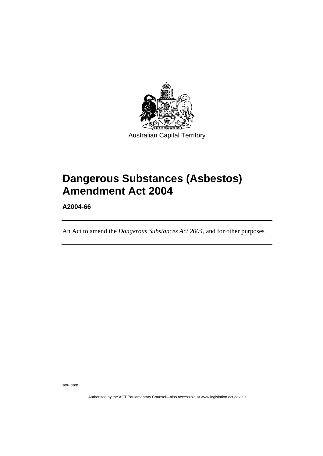

# **Dangerous Substances (Asbestos) Amendment Act 2004**

**A2004-66** 

An Act to amend the *Dangerous Substances Act 2004*, and for other purposes

2004 080B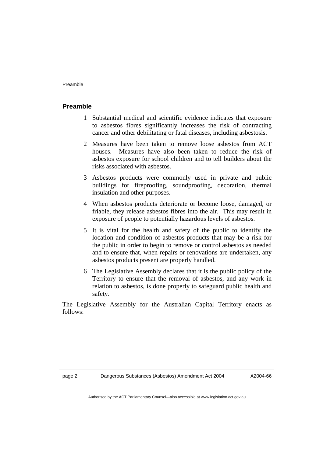### **Preamble**

- 1 Substantial medical and scientific evidence indicates that exposure to asbestos fibres significantly increases the risk of contracting cancer and other debilitating or fatal diseases, including asbestosis.
- 2 Measures have been taken to remove loose asbestos from ACT houses. Measures have also been taken to reduce the risk of asbestos exposure for school children and to tell builders about the risks associated with asbestos.
- 3 Asbestos products were commonly used in private and public buildings for fireproofing, soundproofing, decoration, thermal insulation and other purposes.
- 4 When asbestos products deteriorate or become loose, damaged, or friable, they release asbestos fibres into the air. This may result in exposure of people to potentially hazardous levels of asbestos.
- 5 It is vital for the health and safety of the public to identify the location and condition of asbestos products that may be a risk for the public in order to begin to remove or control asbestos as needed and to ensure that, when repairs or renovations are undertaken, any asbestos products present are properly handled.
- 6 The Legislative Assembly declares that it is the public policy of the Territory to ensure that the removal of asbestos, and any work in relation to asbestos, is done properly to safeguard public health and safety.

The Legislative Assembly for the Australian Capital Territory enacts as follows: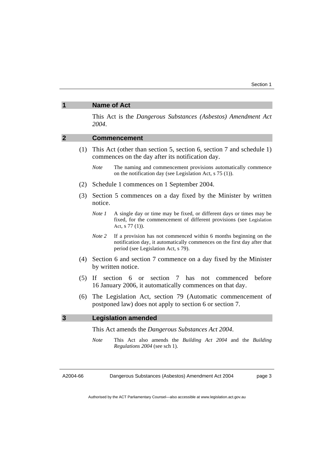# This Act is the *Dangerous Substances (Asbestos) Amendment Act 2004*. **2 Commencement**  (1) This Act (other than section 5, section 6, section 7 and schedule 1) commences on the day after its notification day. *Note* The naming and commencement provisions automatically commence on the notification day (see Legislation Act, s 75 (1)). (2) Schedule 1 commences on 1 September 2004. (3) Section 5 commences on a day fixed by the Minister by written notice. *Note 1* A single day or time may be fixed, or different days or times may be fixed, for the commencement of different provisions (see Legislation Act, s 77 (1)). *Note* 2 If a provision has not commenced within 6 months beginning on the notification day, it automatically commences on the first day after that period (see Legislation Act, s 79). (4) Section 6 and section 7 commence on a day fixed by the Minister by written notice. (5) If section 6 or section 7 has not commenced before 16 January 2006, it automatically commences on that day. (6) The Legislation Act, section 79 (Automatic commencement of postponed law) does not apply to section 6 or section 7. **3 Legislation amended**  This Act amends the *Dangerous Substances Act 2004*. *Note* This Act also amends the *Building Act 2004* and the *Building Regulations 2004* (see sch 1).

**1 Name of Act** 

A2004-66

Dangerous Substances (Asbestos) Amendment Act 2004

page 3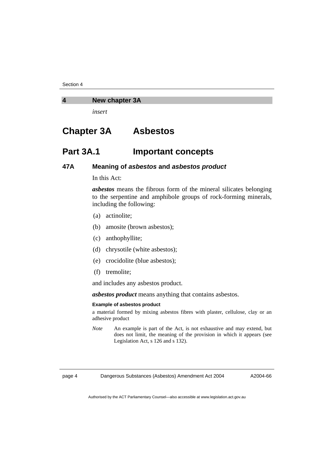Section 4

#### **4 New chapter 3A**

*insert* 

# **Chapter 3A Asbestos**

# **Part 3A.1 Important concepts**

# **47A Meaning of** *asbestos* **and** *asbestos product*

In this Act:

*asbestos* means the fibrous form of the mineral silicates belonging to the serpentine and amphibole groups of rock-forming minerals, including the following:

- (a) actinolite;
- (b) amosite (brown asbestos);
- (c) anthophyllite;
- (d) chrysotile (white asbestos);
- (e) crocidolite (blue asbestos);
- (f) tremolite;

and includes any asbestos product.

*asbestos product* means anything that contains asbestos.

#### **Example of asbestos product**

a material formed by mixing asbestos fibres with plaster, cellulose, clay or an adhesive product

*Note* An example is part of the Act, is not exhaustive and may extend, but does not limit, the meaning of the provision in which it appears (see Legislation Act, s 126 and s 132).

page 4 Dangerous Substances (Asbestos) Amendment Act 2004

A2004-66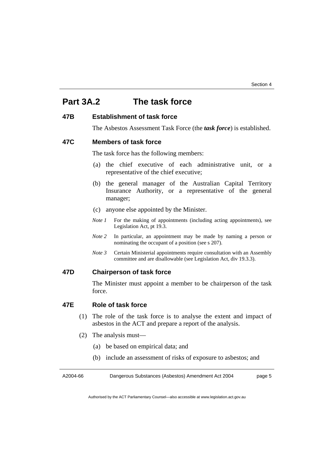# **Part 3A.2 The task force**

# **47B Establishment of task force**

The Asbestos Assessment Task Force (the *task force*) is established.

#### **47C Members of task force**

The task force has the following members:

- (a) the chief executive of each administrative unit, or a representative of the chief executive;
- (b) the general manager of the Australian Capital Territory Insurance Authority, or a representative of the general manager;
- (c) anyone else appointed by the Minister.
- *Note 1* For the making of appointments (including acting appointments), see Legislation Act, pt 19.3.
- *Note 2* In particular, an appointment may be made by naming a person or nominating the occupant of a position (see s 207).
- *Note 3* Certain Ministerial appointments require consultation with an Assembly committee and are disallowable (see Legislation Act, div 19.3.3).

# **47D Chairperson of task force**

The Minister must appoint a member to be chairperson of the task force.

# **47E Role of task force**

- (1) The role of the task force is to analyse the extent and impact of asbestos in the ACT and prepare a report of the analysis.
- (2) The analysis must—
	- (a) be based on empirical data; and
	- (b) include an assessment of risks of exposure to asbestos; and

A2004-66 Dangerous Substances (Asbestos) Amendment Act 2004 page 5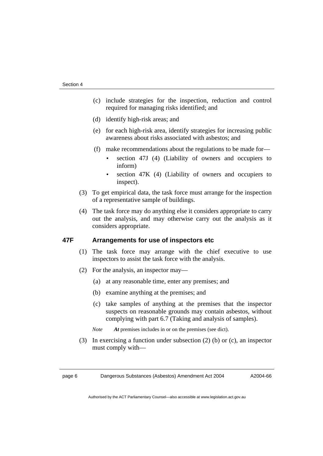- (c) include strategies for the inspection, reduction and control required for managing risks identified; and
- (d) identify high-risk areas; and
- (e) for each high-risk area, identify strategies for increasing public awareness about risks associated with asbestos; and
- (f) make recommendations about the regulations to be made for
	- section 47J (4) (Liability of owners and occupiers to inform)
	- section 47K (4) (Liability of owners and occupiers to inspect).
- (3) To get empirical data, the task force must arrange for the inspection of a representative sample of buildings.
- (4) The task force may do anything else it considers appropriate to carry out the analysis, and may otherwise carry out the analysis as it considers appropriate.

# **47F Arrangements for use of inspectors etc**

- (1) The task force may arrange with the chief executive to use inspectors to assist the task force with the analysis.
- (2) For the analysis, an inspector may—
	- (a) at any reasonable time, enter any premises; and
	- (b) examine anything at the premises; and
	- (c) take samples of anything at the premises that the inspector suspects on reasonable grounds may contain asbestos, without complying with part 6.7 (Taking and analysis of samples).

*Note At* premises includes in or on the premises (see dict).

 (3) In exercising a function under subsection (2) (b) or (c), an inspector must comply with—

page 6 Dangerous Substances (Asbestos) Amendment Act 2004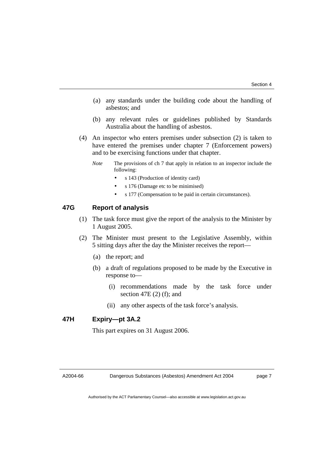- (a) any standards under the building code about the handling of asbestos; and
- (b) any relevant rules or guidelines published by Standards Australia about the handling of asbestos.
- (4) An inspector who enters premises under subsection (2) is taken to have entered the premises under chapter 7 (Enforcement powers) and to be exercising functions under that chapter.
	- *Note* The provisions of ch 7 that apply in relation to an inspector include the following:
		- s 143 (Production of identity card)
		- s 176 (Damage etc to be minimised)
		- s 177 (Compensation to be paid in certain circumstances).

### **47G Report of analysis**

- (1) The task force must give the report of the analysis to the Minister by 1 August 2005.
- (2) The Minister must present to the Legislative Assembly, within 5 sitting days after the day the Minister receives the report—
	- (a) the report; and
	- (b) a draft of regulations proposed to be made by the Executive in response to—
		- (i) recommendations made by the task force under section  $47E(2)$  (f); and
		- (ii) any other aspects of the task force's analysis.

# **47H Expiry—pt 3A.2**

This part expires on 31 August 2006.

#### A2004-66

page 7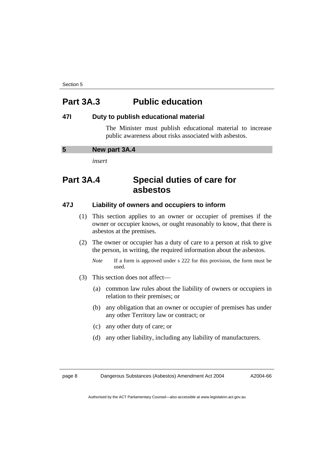Section 5

# **Part 3A.3 Public education**

# **47I Duty to publish educational material**

 The Minister must publish educational material to increase public awareness about risks associated with asbestos.

| 5<br>New part 3A.4 |  |
|--------------------|--|
|--------------------|--|

*insert* 

# **Part 3A.4 Special duties of care for asbestos**

# **47J Liability of owners and occupiers to inform**

- (1) This section applies to an owner or occupier of premises if the owner or occupier knows, or ought reasonably to know, that there is asbestos at the premises.
- (2) The owner or occupier has a duty of care to a person at risk to give the person, in writing, the required information about the asbestos.
	- *Note* If a form is approved under s 222 for this provision, the form must be used.
- (3) This section does not affect—
	- (a) common law rules about the liability of owners or occupiers in relation to their premises; or
	- (b) any obligation that an owner or occupier of premises has under any other Territory law or contract; or
	- (c) any other duty of care; or
	- (d) any other liability, including any liability of manufacturers.

page 8 Dangerous Substances (Asbestos) Amendment Act 2004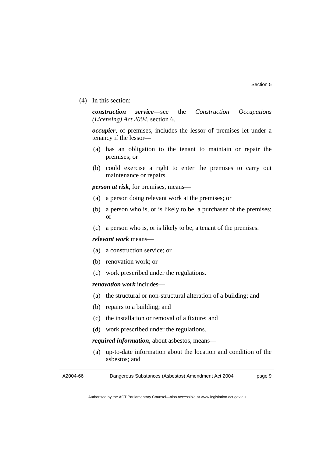(4) In this section:

*construction service*—see the *Construction Occupations (Licensing) Act 2004*, section 6.

*occupier*, of premises, includes the lessor of premises let under a tenancy if the lessor—

- (a) has an obligation to the tenant to maintain or repair the premises; or
- (b) could exercise a right to enter the premises to carry out maintenance or repairs.

*person at risk*, for premises, means—

- (a) a person doing relevant work at the premises; or
- (b) a person who is, or is likely to be, a purchaser of the premises; or
- (c) a person who is, or is likely to be, a tenant of the premises.

#### *relevant work* means—

- (a) a construction service; or
- (b) renovation work; or
- (c) work prescribed under the regulations.

#### *renovation work* includes—

- (a) the structural or non-structural alteration of a building; and
- (b) repairs to a building; and
- (c) the installation or removal of a fixture; and
- (d) work prescribed under the regulations.

*required information*, about asbestos, means—

 (a) up-to-date information about the location and condition of the asbestos; and

A2004-66 Dangerous Substances (Asbestos) Amendment Act 2004 page 9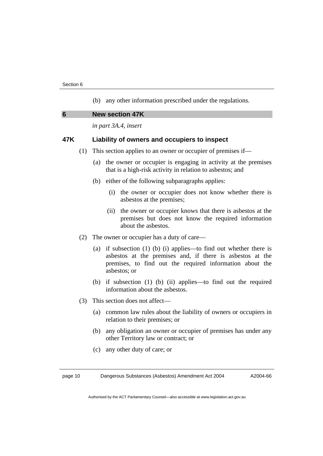(b) any other information prescribed under the regulations.

*in part 3A.4, insert* 

# **47K Liability of owners and occupiers to inspect**

- (1) This section applies to an owner or occupier of premises if—
	- (a) the owner or occupier is engaging in activity at the premises that is a high-risk activity in relation to asbestos; and
	- (b) either of the following subparagraphs applies:
		- (i) the owner or occupier does not know whether there is asbestos at the premises;
		- (ii) the owner or occupier knows that there is asbestos at the premises but does not know the required information about the asbestos.
- (2) The owner or occupier has a duty of care—
	- (a) if subsection (1) (b) (i) applies—to find out whether there is asbestos at the premises and, if there is asbestos at the premises, to find out the required information about the asbestos; or
	- (b) if subsection (1) (b) (ii) applies—to find out the required information about the asbestos.
- (3) This section does not affect—
	- (a) common law rules about the liability of owners or occupiers in relation to their premises; or
	- (b) any obligation an owner or occupier of premises has under any other Territory law or contract; or
	- (c) any other duty of care; or

page 10 Dangerous Substances (Asbestos) Amendment Act 2004

A2004-66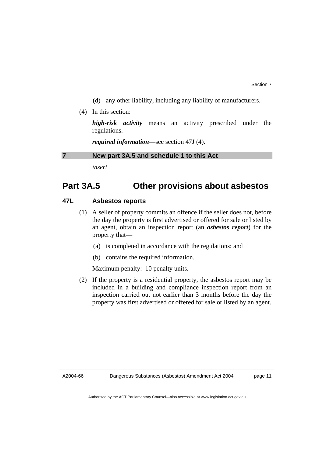- (d) any other liability, including any liability of manufacturers.
- (4) In this section:

*high-risk activity* means an activity prescribed under the regulations.

*required information*—see section 47J (4).

#### **7 New part 3A.5 and schedule 1 to this Act**

*insert* 

# **Part 3A.5 Other provisions about asbestos**

# **47L Asbestos reports**

- (1) A seller of property commits an offence if the seller does not, before the day the property is first advertised or offered for sale or listed by an agent, obtain an inspection report (an *asbestos report*) for the property that—
	- (a) is completed in accordance with the regulations; and
	- (b) contains the required information.

Maximum penalty: 10 penalty units.

 (2) If the property is a residential property, the asbestos report may be included in a building and compliance inspection report from an inspection carried out not earlier than 3 months before the day the property was first advertised or offered for sale or listed by an agent.

A2004-66

page 11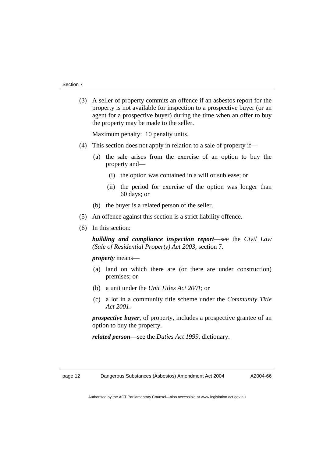(3) A seller of property commits an offence if an asbestos report for the property is not available for inspection to a prospective buyer (or an agent for a prospective buyer) during the time when an offer to buy the property may be made to the seller.

Maximum penalty: 10 penalty units.

- (4) This section does not apply in relation to a sale of property if—
	- (a) the sale arises from the exercise of an option to buy the property and—
		- (i) the option was contained in a will or sublease; or
		- (ii) the period for exercise of the option was longer than 60 days; or
	- (b) the buyer is a related person of the seller.
- (5) An offence against this section is a strict liability offence.
- (6) In this section:

*building and compliance inspection report*—see the *Civil Law (Sale of Residential Property) Act 2003*, section 7.

*property* means—

- (a) land on which there are (or there are under construction) premises; or
- (b) a unit under the *Unit Titles Act 2001*; or
- (c) a lot in a community title scheme under the *Community Title Act 2001*.

*prospective buyer*, of property, includes a prospective grantee of an option to buy the property.

*related person*—see the *Duties Act 1999*, dictionary.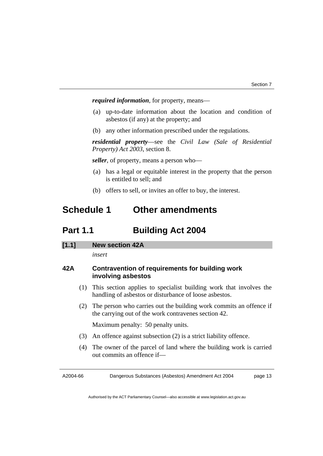*required information*, for property, means—

- (a) up-to-date information about the location and condition of asbestos (if any) at the property; and
- (b) any other information prescribed under the regulations.

*residential property*—see the *Civil Law (Sale of Residential Property) Act 2003*, section 8.

*seller*, of property, means a person who—

- (a) has a legal or equitable interest in the property that the person is entitled to sell; and
- (b) offers to sell, or invites an offer to buy, the interest.

# **Schedule 1 Other amendments**

# **Part 1.1 Building Act 2004**

### **[1.1] New section 42A**

*insert* 

# **42A Contravention of requirements for building work involving asbestos**

- (1) This section applies to specialist building work that involves the handling of asbestos or disturbance of loose asbestos.
- (2) The person who carries out the building work commits an offence if the carrying out of the work contravenes section 42.

Maximum penalty: 50 penalty units.

- (3) An offence against subsection (2) is a strict liability offence.
- (4) The owner of the parcel of land where the building work is carried out commits an offence if—

A2004-66

Dangerous Substances (Asbestos) Amendment Act 2004

page 13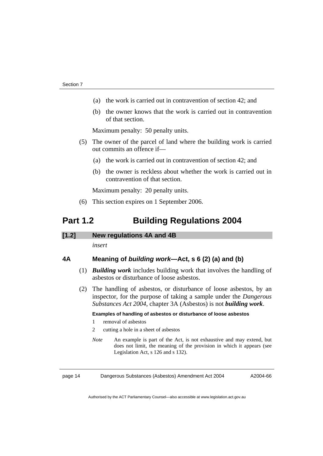- (a) the work is carried out in contravention of section 42; and
- (b) the owner knows that the work is carried out in contravention of that section.

Maximum penalty: 50 penalty units.

- (5) The owner of the parcel of land where the building work is carried out commits an offence if—
	- (a) the work is carried out in contravention of section 42; and
	- (b) the owner is reckless about whether the work is carried out in contravention of that section.

Maximum penalty: 20 penalty units.

(6) This section expires on 1 September 2006.

# **Part 1.2 Building Regulations 2004**

#### **[1.2] New regulations 4A and 4B**

*insert* 

# **4A Meaning of** *building work***—Act, s 6 (2) (a) and (b)**

- (1) *Building work* includes building work that involves the handling of asbestos or disturbance of loose asbestos.
- (2) The handling of asbestos, or disturbance of loose asbestos, by an inspector, for the purpose of taking a sample under the *Dangerous Substances Act 2004*, chapter 3A (Asbestos) is not *building work*.

#### **Examples of handling of asbestos or disturbance of loose asbestos**

- 1 removal of asbestos
- 2 cutting a hole in a sheet of asbestos
- *Note* An example is part of the Act, is not exhaustive and may extend, but does not limit, the meaning of the provision in which it appears (see Legislation Act, s 126 and s 132).

page 14 Dangerous Substances (Asbestos) Amendment Act 2004

A2004-66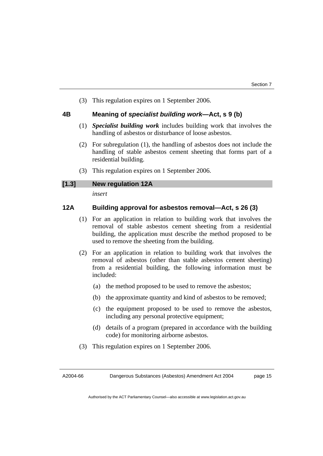(3) This regulation expires on 1 September 2006.

### **4B Meaning of** *specialist building work***—Act, s 9 (b)**

- (1) *Specialist building work* includes building work that involves the handling of asbestos or disturbance of loose asbestos.
- (2) For subregulation (1), the handling of asbestos does not include the handling of stable asbestos cement sheeting that forms part of a residential building.
- (3) This regulation expires on 1 September 2006.

# **[1.3] New regulation 12A**

*insert* 

# **12A Building approval for asbestos removal—Act, s 26 (3)**

- (1) For an application in relation to building work that involves the removal of stable asbestos cement sheeting from a residential building, the application must describe the method proposed to be used to remove the sheeting from the building.
- (2) For an application in relation to building work that involves the removal of asbestos (other than stable asbestos cement sheeting) from a residential building, the following information must be included:
	- (a) the method proposed to be used to remove the asbestos;
	- (b) the approximate quantity and kind of asbestos to be removed;
	- (c) the equipment proposed to be used to remove the asbestos, including any personal protective equipment;
	- (d) details of a program (prepared in accordance with the building code) for monitoring airborne asbestos.
- (3) This regulation expires on 1 September 2006.

A2004-66

Dangerous Substances (Asbestos) Amendment Act 2004

page 15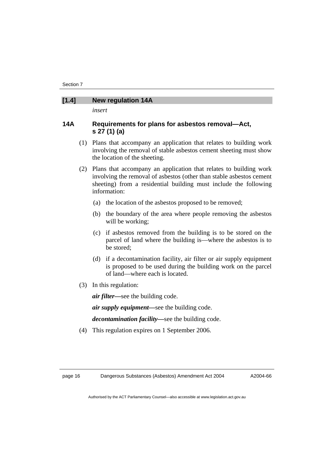#### **[1.4] New regulation 14A**

*insert* 

# **14A Requirements for plans for asbestos removal—Act, s 27 (1) (a)**

- (1) Plans that accompany an application that relates to building work involving the removal of stable asbestos cement sheeting must show the location of the sheeting.
- (2) Plans that accompany an application that relates to building work involving the removal of asbestos (other than stable asbestos cement sheeting) from a residential building must include the following information:
	- (a) the location of the asbestos proposed to be removed;
	- (b) the boundary of the area where people removing the asbestos will be working;
	- (c) if asbestos removed from the building is to be stored on the parcel of land where the building is—where the asbestos is to be stored;
	- (d) if a decontamination facility, air filter or air supply equipment is proposed to be used during the building work on the parcel of land—where each is located.
- (3) In this regulation:

*air filter—*see the building code.

*air supply equipment—*see the building code.

*decontamination facility—*see the building code.

(4) This regulation expires on 1 September 2006.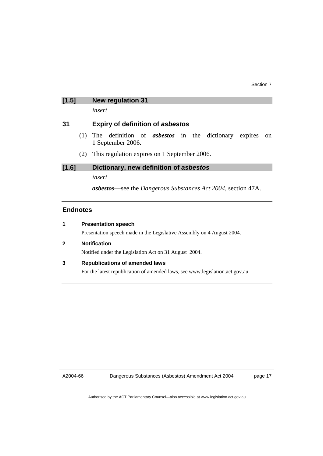# **[1.5] New regulation 31**

*insert* 

# **31 Expiry of definition of** *asbestos*

- (1) The definition of *asbestos* in the dictionary expires on 1 September 2006.
- (2) This regulation expires on 1 September 2006.

### **[1.6] Dictionary, new definition of** *asbestos*

*insert* 

*asbestos*—see the *Dangerous Substances Act 2004*, section 47A.

# **Endnotes**

|  | <b>Presentation speech</b> |  |
|--|----------------------------|--|
|--|----------------------------|--|

Presentation speech made in the Legislative Assembly on 4 August 2004.

**2 Notification** 

Notified under the Legislation Act on 31 August 2004.

# **3 Republications of amended laws**

For the latest republication of amended laws, see www.legislation.act.gov.au.

A2004-66

Dangerous Substances (Asbestos) Amendment Act 2004

page 17